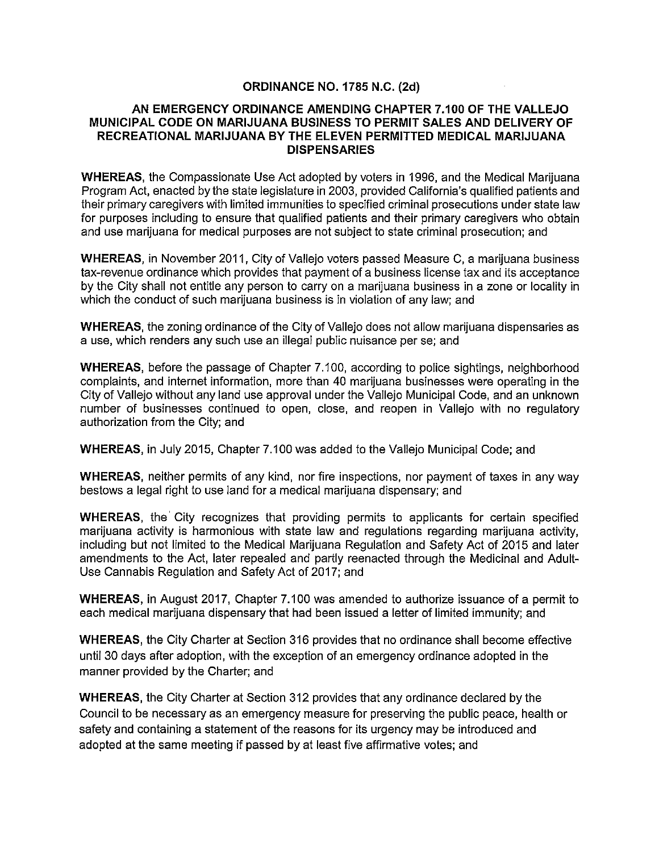## **ORDINANCE NO. 1785 N.C. (2d)**

#### **AN EMERGENCY ORDINANCE AMENDING CHAPTER 7.100 OF THE VALLEJO MUNICIPAL CODE ON MARIJUANA BUSINESS TO PERMIT SALES AND DELIVERY OF RECREATIONAL MARIJUANA BY THE ELEVEN PERMITTED MEDICAL MARIJUANA DISPENSARIES**

**WHEREAS,** the Compassionate Use Act adopted by voters in 1996, and the Medical Marijuana Program Act, enacted by the state legislature in 2003, provided California's qualified patients and their primary caregivers with limited immunities to specified criminal prosecutions under state law for purposes including to ensure that qualified patients and their primary caregivers who obtain and use marijuana for medical purposes are not subject to state criminal prosecution; and

**WHEREAS,** in November 2011, City of Vallejo voters passed Measure C, a marijuana business tax-revenue ordinance which provides that payment of a business license tax and its acceptance by the City shall not entitle any person to carry on a marijuana business in a zone or locality in which the conduct of such marijuana business is in violation of any law; and

**WHEREAS,** the zoning ordinance of the City of Vallejo does not allow marijuana dispensaries as a use, which renders any such use an illegal public nuisance per se; and

**WHEREAS,** before the passage of Chapter 7.100, according to police sightings, neighborhood complaints, and internet information, more than 40 marijuana businesses were operating in the City of Vallejo without any land use approval under the Vallejo Municipal Code, and an unknown number of businesses continued to open, close, and reopen in Vallejo with no regulatory authorization from the City; and

**WHEREAS,** in July 2015, Chapter 7.100 was added to the Vallejo Municipal Code; and

**WHEREAS,** neither permits of any kind, nor fire inspections, nor payment of taxes in any way bestows a legal right to use land for a medical marijuana dispensary; and

WHEREAS, the City recognizes that providing permits to applicants for certain specified marijuana activity is harmonious with state law and regulations regarding marijuana activity, including but not limited to the Medical Marijuana Regulation and Safety Act of 2015 and later amendments to the Act, later repealed and partly reenacted through the Medicinal and Adult-Use Cannabis Regulation and Safety Act of 2017; and

**WHEREAS,** in August 2017, Chapter 7.100 was amended to authorize issuance of a permit to each medical marijuana dispensary that had been issued a letter of limited immunity; and

**WHEREAS,** the City Charter at Section 316 provides that no ordinance shall become effective until 30 days after adoption, with the exception of an emergency ordinance adopted in the manner provided by the Charter; and

**WHEREAS,** the City Charter at Section 312 provides that any ordinance declared by the Council to be necessary as an emergency measure for preserving the public peace, health or safety and containing a statement of the reasons for its urgency may be introduced and adopted at the same meeting if passed by at least five affirmative votes; and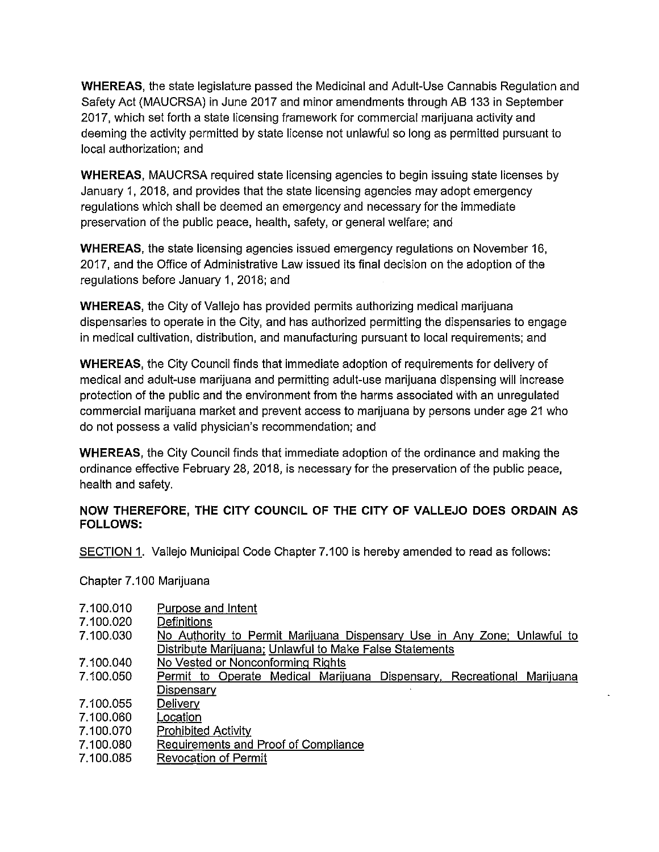**WHEREAS,** the state legislature passed the Medicinal and Adult-Use Cannabis Regulation and Safety Act (MAUCRSA) in June 2017 and minor amendments through AB 133 in September 2017, which set forth a state licensing framework for commercial marijuana activity and deeming the activity permitted by state license not unlawful so long as permitted pursuant to local authorization; and

**WHEREAS,** MAUCRSA required state licensing agencies to begin issuing state licenses by January 1, 2018, and provides that the state licensing agencies may adopt emergency regulations which shall be deemed an emergency and necessary for the immediate preservation of the public peace, health, safety, or general welfare; and

**WHEREAS,** the state licensing agencies issued emergency regulations on November 16, 2017, and the Office of Administrative Law issued its final decision on the adoption of the regulations before January 1, 2018; and

**WHEREAS,** the City of Vallejo has provided permits authorizing medical marijuana dispensaries to operate in the City, and has authorized permitting the dispensaries to engage in medical cultivation, distribution, and manufacturing pursuant to local requirements; and

**WHEREAS,** the City Council finds that immediate adoption of requirements for delivery of medical and adult-use marijuana and permitting adult-use marijuana dispensing will increase protection of the public and the environment from the harms associated with an unregulated commercial marijuana market and prevent access to marijuana by persons under age 21 who do not possess a valid physician's recommendation; and

**WHEREAS,** the City Council finds that immediate adoption of the ordinance and making the ordinance effective February 28, 2018, is necessary for the preservation of the public peace, health and safety.

# **NOW THEREFORE, THE CITY COUNCIL OF THE CITY OF VALLEJO DOES ORDAIN AS FOLLOWS:**

SECTION 1. Vallejo Municipal Code Chapter 7.100 is hereby amended to read as follows:

Chapter 7.100 Marijuana

- 7.100.020 **Definitions**
- 7.100.030 No Authority to Permit Marijuana Dispensarv Use in Any Zone: Unlawful to Distribute Marijuana: Unlawful to Make False Statements
- 7.100.040 No Vested or Nonconforming Rights
- 7.100.050 Permit to Operate Medical Marijuana Dispensary. Recreational Marijuana **Dispensary**
- 7.100.055 **Delivery**
- 7.100.060 Location
- 7.100.070 Prohibited Activity
- 7.100.080 Requirements and Proof of Compliance
- 7.100.085 Revocation of Permit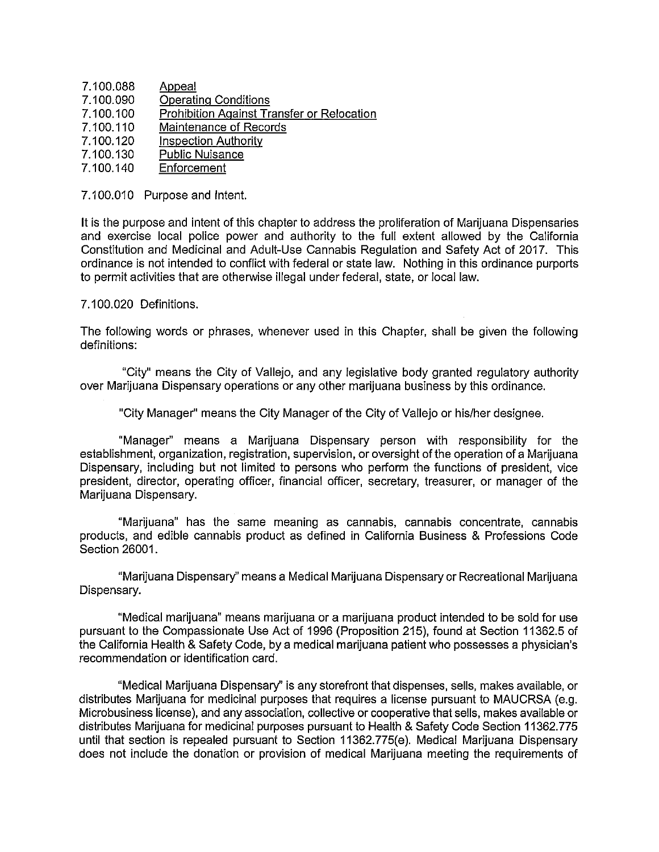- 7.100.088 **Appeal**
- 7.100.090 Operating Conditions
- 7.100.100 Prohibition Against Transfer or Relocation
- 7.100.110 Maintenance of Records
- 7.100.120 Inspection Authority
- 7.100.130 Public Nuisance
- 7.100.140 Enforcement

## 7.100.010 Purpose and Intent.

It is the purpose and intent of this chapter to address the proliferation of Marijuana Dispensaries and exercise local police power and authority to the full extent allowed by the California Constitution and Medicinal and Adult-Use Cannabis Regulation and Safety Act of 2017. This ordinance is not intended to conflict with federal or state law. Nothing in this ordinance purports to permit activities that are otherwise illegal under federal, state, or local law.

## 7 .100.020 Definitions.

The following words or phrases, whenever used in this Chapter, shall be given the following definitions:

"City" means the City of Vallejo, and any legislative body granted regulatory authority over Marijuana Dispensary operations or any other marijuana business by this ordinance.

"City Manager" means the City Manager of the City of Vallejo or his/her designee.

"Manager" means a Marijuana Dispensary person with responsibility for the establishment, organization, registration, supervision, or oversight of the operation of a Marijuana Dispensary, including but not limited to persons who perform the functions of president, vice president, director, operating officer, financial officer, secretary, treasurer, or manager of the Marijuana Dispensary.

"Marijuana" has the same meaning as cannabis, cannabis concentrate, cannabis products, and edible cannabis product as defined in California Business & Professions Code Section 26001.

"Marijuana Dispensary'' means a Medical Marijuana Dispensary or Recreational Marijuana Dispensary.

"Medical marijuana" means marijuana or a marijuana product intended to be sold for use pursuant to the Compassionate Use Act of 1996 (Proposition 215), found at Section 11362.5 of the California Health & Safety Code, by a medical marijuana patient who possesses a physician's recommendation or identification card.

"Medical Marijuana Dispensary'' is any storefront that dispenses, sells, makes available, or distributes Marijuana for medicinal purposes that requires a license pursuant to MAUCRSA (e.g. Microbusiness license), and any association, collective or cooperative that sells, makes available or distributes Marijuana for medicinal purposes pursuant to Health & Safety Code Section 11362.775 until that section is repealed pursuant to Section 11362.775(e). Medical Marijuana Dispensary does not include the donation or provision of medical Marijuana meeting the requirements of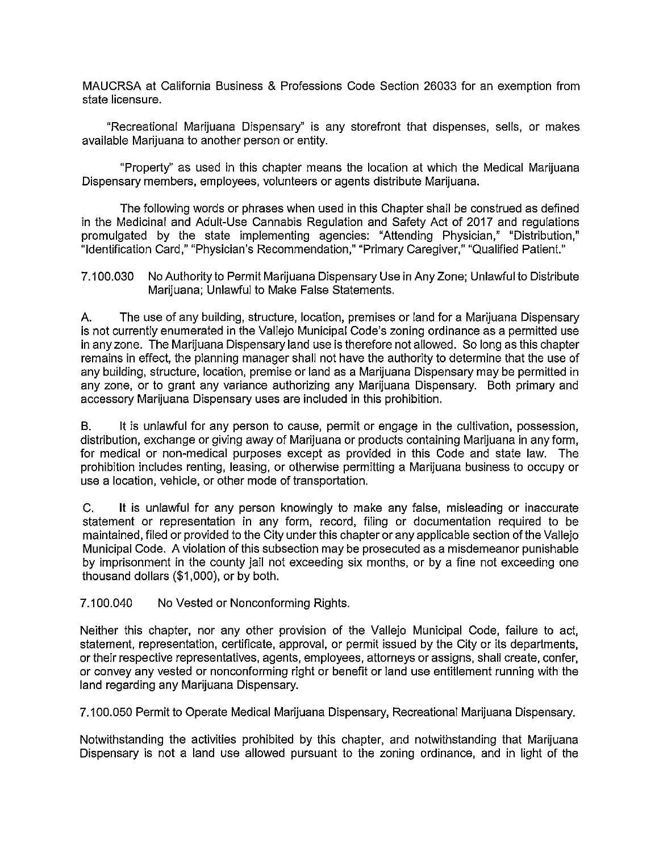MAUCRSA at California Business & Professions Code Section 26033 for an exemption from state licensure.

"Recreational Marijuana Dispensary" is any storefront that dispenses, sells, or makes available Marijuana to another person or entity.

"Property'' as used in this chapter means the location at which the Medical Marijuana Dispensary members, employees, volunteers or agents distribute Marijuana.

The following words or phrases when used in this Chapter shall be construed as defined in the Medicinal and Adult-Use Cannabis Regulation and Safety Act of 2017 and regulations promulgated by the state implementing agencies: "Attending Physician," "Distribution," "Identification Card," "Physician's Recommendation," "Primary Caregiver," "Qualified Patient."

7.100.030 No Authority to Permit Marijuana Dispensary Use in Any Zone; Unlawful to Distribute Marijuana; Unlawful to Make False Statements.

A. The use of any building, structure, location, premises or land for a Marijuana Dispensary is not currently enumerated in the Vallejo Municipal Code's zoning ordinance as a permitted use in any zone. The Marijuana Dispensary land use is therefore not allowed. So long as this chapter remains in effect, the planning manager shall not have the authority to determine that the use of any building, structure, location, premise or land as a Marijuana Dispensary may be permitted in any zone, or to grant any variance authorizing any Marijuana Dispensary. Both primary and accessory Marijuana Dispensary uses are included in this prohibition.

B. It is unlawful for any person to cause, permit or engage in the cultivation, possession, distribution, exchange or giving away of Marijuana or products containing Marijuana in any form, for medical or non-medical purposes except as provided in this Code and state law. The prohibition includes renting, leasing, or otherwise permitting a Marijuana business to occupy or use a location, vehicle, or other mode of transportation.

C. It is unlawful for any person knowingly to make any false, misleading or inaccurate statement or representation in any form, record, filing or documentation required to be maintained, filed or provided to the City under this chapter or any applicable section of the Vallejo Municipal Code. A violation of this subsection may be prosecuted as a misdemeanor punishable by imprisonment in the county jail not exceeding six months, or by a fine not exceeding one thousand dollars (\$1,000), or by both.

7.100.040 No Vested or Nonconforming Rights.

Neither this chapter, nor any other provision of the Vallejo Municipal Code, failure to act, statement, representation, certificate, approval, or permit issued by the City or its departments, or their respective representatives, agents, employees, attorneys or assigns, shall create, confer, or convey any vested or nonconforming right or benefit or land use entitlement running with the land regarding any Marijuana Dispensary.

7.100.050 Permit to Operate Medical Marijuana Dispensary, Recreational Marijuana Dispensary.

Notwithstanding the activities prohibited by this chapter, and notwithstanding that Marijuana Dispensary is not a land use allowed pursuant to the zoning ordinance, and in light of the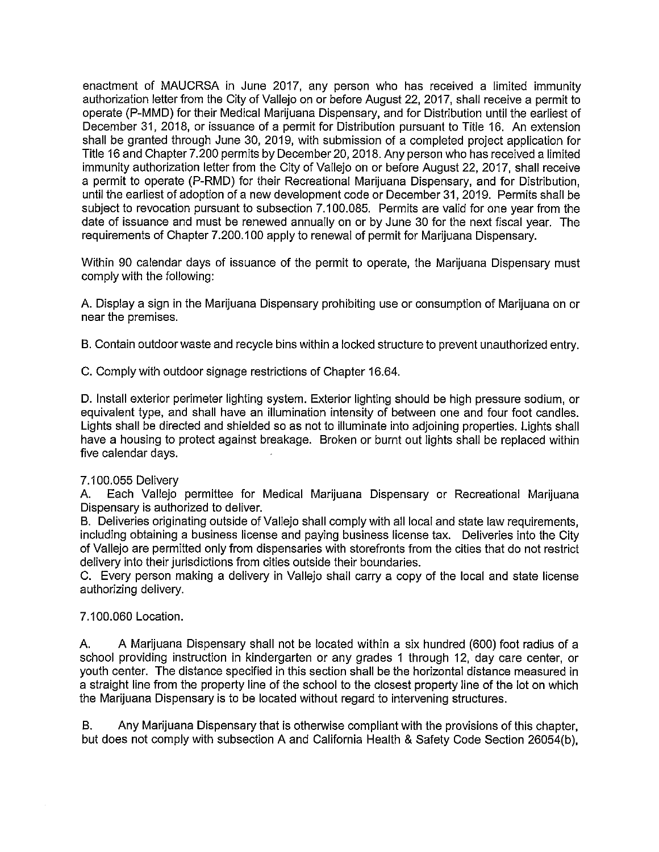enactment of MAUCRSA in June 2017, any person who has received a limited immunity authorization letter from the City of Vallejo on or before August 22, 2017, shall receive a permit to operate (P-MMD) for their Medical Marijuana Dispensary, and for Distribution until the earliest of December 31, 2018, or issuance of a permit for Distribution pursuant to Title 16. An extension shall be granted through June 30, 2019, with submission of a completed project application for Title 16 and Chapter 7.200 permits by December 20, 2018. Any person who has received a limited immunity authorization letter from the City of Vallejo on or before August 22, 2017, shall receive a permit to operate (P-RMD) for their Recreational Marijuana Dispensary, and for Distribution, until the earliest of adoption of a new development code or December 31, 2019. Permits shall be subject to revocation pursuant to subsection 7.100.085. Permits are valid for one year from the date of issuance and must be renewed annually on or by June 30 for the next fiscal year. The requirements of Chapter 7.200.100 apply to renewal of permit for Marijuana Dispensary.

Within 90 calendar days of issuance of the permit to operate, the Marijuana Dispensary must comply with the following:

A. Display a sign in the Marijuana Dispensary prohibiting use or consumption of Marijuana on or near the premises.

B. Contain outdoor waste and recycle bins within a locked structure to prevent unauthorized entry.

C. Comply with outdoor signage restrictions of Chapter 16.64.

D. Install exterior perimeter lighting system. Exterior lighting should be high pressure sodium, or equivalent type, and shall have an illumination intensity of between one and four foot candles. Lights shall be directed and shielded so as not to illuminate into adjoining properties. Lights shall have a housing to protect against breakage. Broken or burnt out lights shall be replaced within five calendar days.

## 7.100.055 Delivery

A. Each Vallejo permittee for Medical Marijuana Dispensary or Recreational Marijuana Dispensary is authorized to deliver.

B. Deliveries originating outside of Vallejo shall comply with all local and state law requirements, including obtaining a business license and paying business license tax. Deliveries into the City of Vallejo are permitted only from dispensaries with storefronts from the cities that do not restrict delivery into their jurisdictions from cities outside their boundaries.

C. Every person making a delivery in Vallejo shall carry a copy of the local and state license authorizing delivery.

## 7.100.060 Location.

A. A Marijuana Dispensary shall not be located within a six hundred (600) foot radius of a school providing instruction in kindergarten or any grades 1 through 12, day care center, or youth center. The distance specified in this section shall be the horizontal distance measured in a straight line from the property line of the school to the closest property line of the lot on which the Marijuana Dispensary is to be located without regard to intervening structures.

B. Any Marijuana Dispensary that is otherwise compliant with the provisions of this chapter, but does not comply with subsection A and California Health & Safety Code Section 26054(b),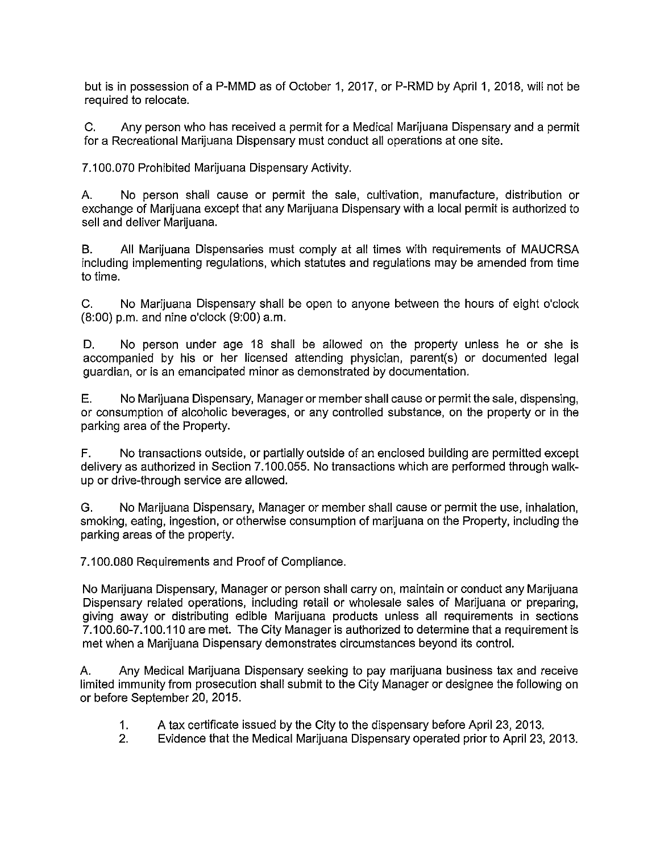but is in possession of a P-MMD as of October 1, 2017, or P-RMD by April 1, 2018, will not be required to relocate.

C. Any person who has received a permit for a Medical Marijuana Dispensary and a permit for a Recreational Marijuana Dispensary must conduct all operations at one site.

7.100.070 Prohibited Marijuana Dispensary Activity.

A. No person shall cause or permit the sale, cultivation, manufacture, distribution or exchange of Marijuana except that any Marijuana Dispensary with a local permit is authorized to sell and deliver Marijuana.

B. All Marijuana Dispensaries must comply at all times with requirements of MAUCRSA including implementing regulations, which statutes and regulations may be amended from time to time.

C. No Marijuana Dispensary shall be open to anyone between the hours of eight o'clock (8:00) p.m. and nine o'clock (9:00) a.m.

D. No person under age 18 shall be allowed on the property unless he or she is accompanied by his or her licensed attending physician, parent(s) or documented legal guardian, or is an emancipated minor as demonstrated by documentation.

E. No Marijuana Dispensary, Manager or member shall cause or permit the sale, dispensing, or consumption of alcoholic beverages, or any controlled substance, on the property or in the parking area of the Property.

F. No transactions outside, or partially outside of an enclosed building are permitted except delivery as authorized in Section 7.100.055. No transactions which are performed through walkup or drive-through service are allowed.

G. No Marijuana Dispensary, Manager or member shall cause or permit the use, inhalation, smoking, eating, ingestion, or otherwise consumption of marijuana on the Property, including the parking areas of the property.

7.100.080 Requirements and Proof of Compliance.

No Marijuana Dispensary, Manager or person shall carry on, maintain or conduct any Marijuana Dispensary related operations, including retail or wholesale sales of Marijuana or preparing, giving away or distributing edible Marijuana products unless all requirements in sections 7.100.60-7.100.110 are met. The City Manager is authorized to determine that a requirement is met when a Marijuana Dispensary demonstrates circumstances beyond its control.

A. Any Medical Marijuana Dispensary seeking to pay marijuana business tax and receive limited immunity from prosecution shall submit to the City Manager or designee the following on or before September 20, 2015.

- 1. A tax certificate issued by the City to the dispensary before April 23, 2013.
- 2. Evidence that the Medical Marijuana Dispensary operated prior to April 23, 2013.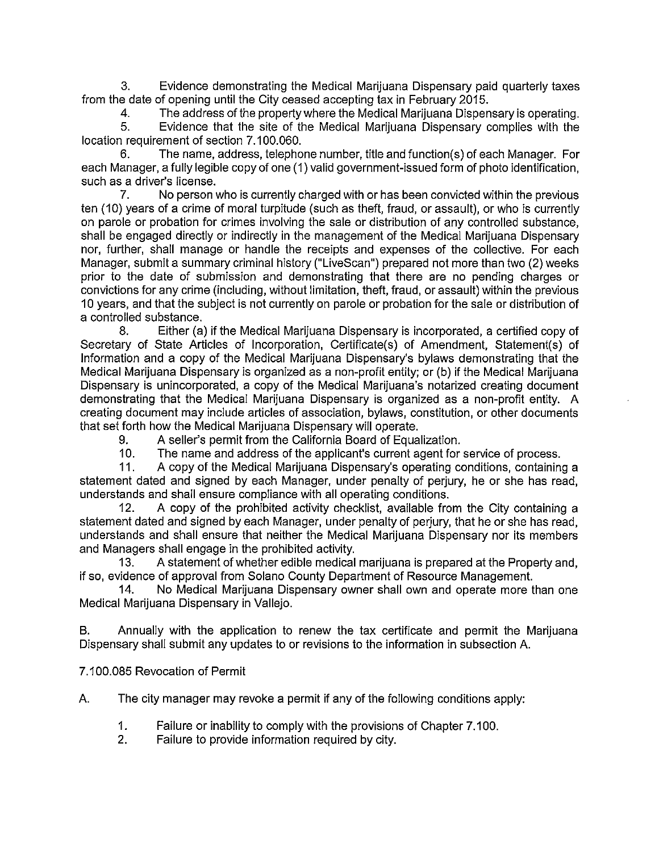3. Evidence demonstrating the Medical Marijuana Dispensary paid quarterly taxes from the date of opening until the City ceased accepting tax in February 2015.

4. The address of the property where the Medical Marijuana Dispensary is operating.

5. Evidence that the site of the Medical Marijuana Dispensary complies with the location requirement of section 7.100.060.

6. The name, address, telephone number, title and function(s) of each Manager. For each Manager, a fully legible copy of one (1) valid government-issued form of photo identification, such as a driver's license.

7. No person who is currently charged with or has been convicted within the previous ten (10) years of a crime of moral turpitude (such as theft, fraud, or assault), or who is currently on parole or probation for crimes involving the sale or distribution of any controlled substance, shall be engaged directly or indirectly in the management of the Medical Marijuana Dispensary nor, further, shall manage or handle the receipts and expenses of the collective. For each Manager, submit a summary criminal history ("LiveScan") prepared not more than two (2) weeks prior to the date of submission and demonstrating that there are no pending charges or convictions for any crime (including, without limitation, theft, fraud, or assault) within the previous 10 years, and that the subject is not currently on parole or probation for the sale or distribution of a controlled substance.

8. Either (a) if the Medical Marijuana Dispensary is incorporated, a certified copy of Secretary of State Articles of Incorporation, Certificate(s) of Amendment, Statement(s) of Information and a copy of the Medical Marijuana Dispensary's bylaws demonstrating that the Medical Marijuana Dispensary is organized as a non-profit entity; or (b) if the Medical Marijuana Dispensary is unincorporated, a copy of the Medical Marijuana's notarized creating document demonstrating that the Medical Marijuana Dispensary is organized as a non-profit entity. A creating document may include articles of association, bylaws, constitution, or other documents that set forth how the Medical Marijuana Dispensary will operate.

9. A seller's permit from the California Board of Equalization.

10. The name and address of the applicant's current agent for service of process.

11. A copy of the Medical Marijuana Dispensary's operating conditions, containing a statement dated and signed by each Manager, under penalty of perjury, he or she has read, understands and shall ensure compliance with all operating conditions.

12. A copy of the prohibited activity checklist, available from the City containing a statement dated and signed by each Manager, under penalty of perjury, that he or she has read, understands and shall ensure that neither the Medical Marijuana Dispensary nor its members and Managers shall engage in the prohibited activity.

13. A statement of whether edible medical marijuana is prepared at the Property and, if so, evidence of approval from Solano County Department of Resource Management.

14. No Medical Marijuana Dispensary owner shall own and operate more than one Medical Marijuana Dispensary in Vallejo.

B. Annually with the application to renew the tax certificate and permit the Marijuana Dispensary shall submit any updates to or revisions to the information in subsection A.

7.100.085 Revocation of Permit

A. The city manager may revoke a permit if any of the following conditions apply:

- 1. Failure or inability to comply with the provisions of Chapter 7.100.
- 2. Failure to provide information required by city.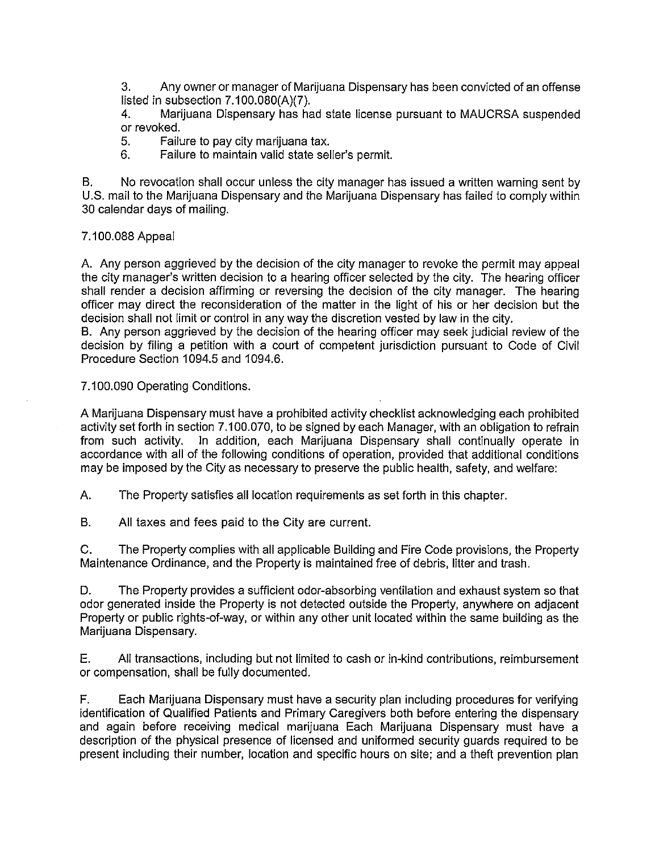3. Any owner or manager of Marijuana Dispensary has been convicted of an offense listed in subsection 7.100.080(A)(7).

4. Marijuana Dispensary has had state license pursuant to MAUCRSA suspended or revoked.

5. Failure to pay city marijuana tax.

6. Failure to maintain valid state seller's permit.

B. No revocation shall occur unless the city manager has issued a written warning sent by U.S. mail to the Marijuana Dispensary and the Marijuana Dispensary has failed to comply within 30 calendar days of mailing.

7.100.088 Appeal

A. Any person aggrieved by the decision of the city manager to revoke the permit may appeal the city manager's written decision to a hearing officer selected by the city. The hearing officer shall render a decision affirming or reversing the decision of the city manager. The hearing officer may direct the reconsideration of the matter in the light of his or her decision but the decision shall not limit or control in any way the discretion vested by law in the city.

B. Any person aggrieved by the decision of the hearing officer may seek judicial review of the decision by filing a petition with a court of competent jurisdiction pursuant to Code of Civil Procedure Section 1094.5 and 1094.6.

7.100.090 Operating Conditions.

A Marijuana Dispensary must have a prohibited activity checklist acknowledging each prohibited activity set forth in section 7.100.070, to be signed by each Manager, with an obligation to refrain from such activity. In addition, each Marijuana Dispensary shall continually operate in accordance with all of the following conditions of operation, provided that additional conditions may be imposed by the City as necessary to preserve the public health, safety, and welfare:

A. The Property satisfies all location requirements as set forth in this chapter.

B. All taxes and fees paid to the City are current.

C. The Property complies with all applicable Building and Fire Code provisions, the Property Maintenance Ordinance, and the Property is maintained free of debris, litter and trash.

D. The Property provides a sufficient odor-absorbing ventilation and exhaust system so that odor generated inside the Property is not detected outside the Property, anywhere on adjacent Property or public rights-of-way, or within any other unit located within the same building as the Marijuana Dispensary.

E. All transactions, including but not limited to cash or in-kind contributions, reimbursement or compensation, shall be fully documented.

F. Each Marijuana Dispensary must have a security plan including procedures for verifying identification of Qualified Patients and Primary Caregivers both before entering the dispensary and again before receiving medical marijuana Each Marijuana Dispensary must have a description of the physical presence of licensed and uniformed security guards required to be present including their number, location and specific hours on site; and a theft prevention plan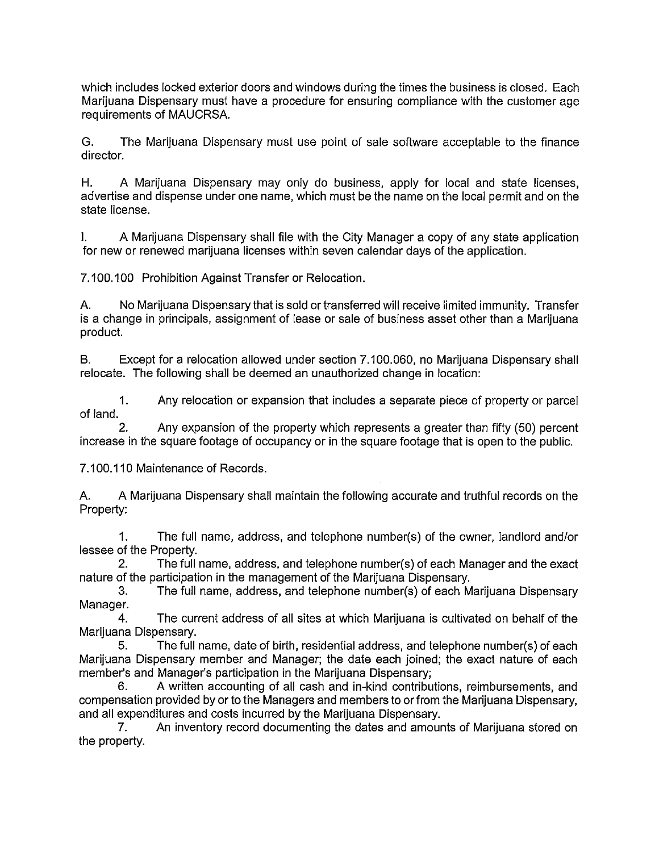which includes locked exterior doors and windows during the times the business is closed. Each Marijuana Dispensary must have a procedure for ensuring compliance with the customer age requirements of MAUCRSA.

G. The Marijuana Dispensary must use point of sale software acceptable to the finance director.

H. A Marijuana Dispensary may only do business, apply for local and state licenses, advertise and dispense under one name, which must be the name on the local permit and on the state license.

I. A Marijuana Dispensary shall file with the City Manager a copy of any state application for new or renewed marijuana licenses within seven calendar days of the application.

7.100.100 Prohibition Against Transfer or Relocation.

A. No Marijuana Dispensary that is sold or transferred will receive limited immunity. Transfer is a change in principals, assignment of lease or sale of business asset other than a Marijuana product.

B. Except for a relocation allowed under section 7.100.060, no Marijuana Dispensary shall relocate. The following shall be deemed an unauthorized change in location:

1. Any relocation or expansion that includes a separate piece of property or parcel of land.

2. Any expansion of the property which represents a greater than fifty (50) percent increase in the square footage of occupancy or in the square footage that is open to the public.

7.100.110 Maintenance of Records.

A. A Marijuana Dispensary shall maintain the following accurate and truthful records on the Property:

1. The full name, address, and telephone number(s) of the owner, landlord and/or lessee of the Property.

2. The full name, address, and telephone number(s) of each Manager and the exact nature of the participation in the management of the Marijuana Dispensary.

3. The full name, address, and telephone number(s) of each Marijuana Dispensary Manager.

4. The current address of all sites at which Marijuana is cultivated on behalf of the Marijuana Dispensary.

5. The full name, date of birth, residential address, and telephone number(s) of each Marijuana Dispensary member and Manager; the date each joined; the exact nature of each member's and Manager's participation in the Marijuana Dispensary;

6. A written accounting of all cash and in-kind contributions, reimbursements, and compensation provided by or to the Managers and members to or from the Marijuana Dispensary, and all expenditures and costs incurred by the Marijuana Dispensary.

7. An inventory record documenting the dates and amounts of Marijuana stored on the property.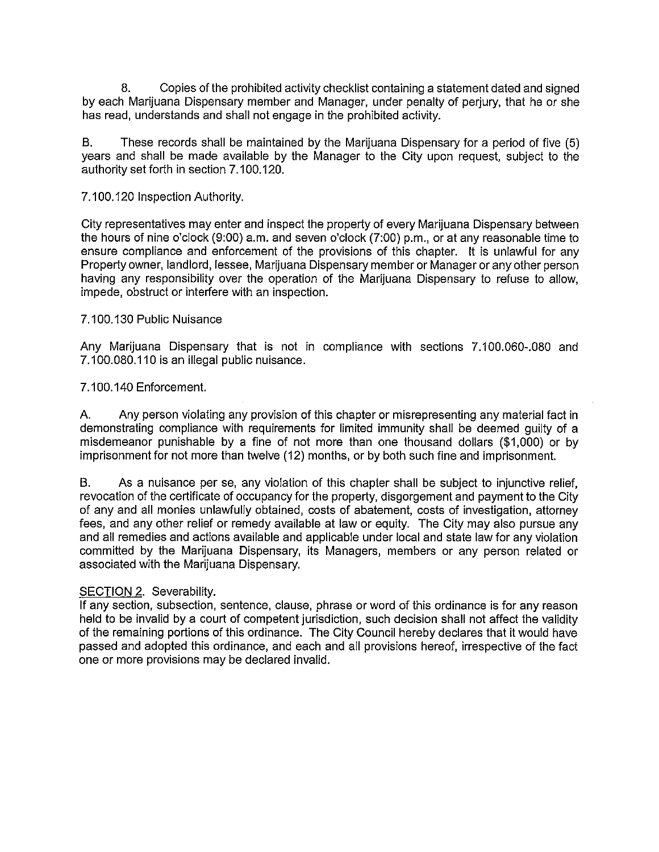8. Copies of the prohibited activity checklist containing a statement dated and signed by each Marijuana Dispensary member and Manager, under penalty of perjury, that he or she has read, understands and shall not engage in the prohibited activity.

B. These records shall be maintained by the Marijuana Dispensary for a period of five (5) years and shall be made available by the Manager to the City upon request, subject to the authority set forth in section 7.100.120.

7.100.120 Inspection Authority.

City representatives may enter and inspect the property of every Marijuana Dispensary between the hours of nine o'clock (9:00) a.m. and seven o'clock (7:00) p.m., or at any reasonable time to ensure compliance and enforcement of the provisions of this chapter. It is unlawful for any Property owner, landlord, lessee, Marijuana Dispensary member or Manager or any other person having any responsibility over the operation of the Marijuana Dispensary to refuse to allow, impede, obstruct or interfere with an inspection.

#### 7.100.130 Public Nuisance

Any Marijuana Dispensary that is not in compliance with sections 7.100.060-.080 and 7.100.080.110 is an illegal public nuisance.

#### 7 .100.140 Enforcement.

A. Any person violating any provision of this chapter or misrepresenting any material fact in demonstrating compliance with requirements for limited immunity shall be deemed guilty of a misdemeanor punishable by a fine of not more than one thousand dollars (\$1,000) or by imprisonment for not more than twelve (12) months, or by both such fine and imprisonment.

B. As a nuisance per se, any violation of this chapter shall be subject to injunctive relief, revocation of the certificate of occupancy for the property, disgorgement and payment to the City of any and all monies unlawfully obtained, costs of abatement, costs of investigation, attorney fees, and any other relief or remedy available at law or equity. The City may also pursue any and all remedies and actions available and applicable under local and state law for any violation committed by the Marijuana Dispensary, its Managers, members or any person related or associated with the Marijuana Dispensary.

## SECTION 2. Severability.

If any section, subsection, sentence, clause, phrase or word of this ordinance is for any reason held to be invalid by a court of competent jurisdiction, such decision shall not affect the validity of the remaining portions of this ordinance. The City Council hereby declares that it would have passed and adopted this ordinance, and each and all provisions hereof, irrespective of the fact one or more provisions may be declared invalid.